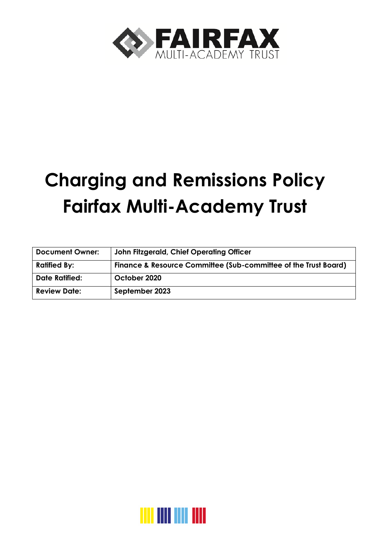

# **Charging and Remissions Policy Fairfax Multi-Academy Trust**

| <b>Document Owner:</b> | John Fitzgerald, Chief Operating Officer                        |
|------------------------|-----------------------------------------------------------------|
| <b>Ratified By:</b>    | Finance & Resource Committee (Sub-committee of the Trust Board) |
| <b>Date Ratified:</b>  | October 2020                                                    |
| <b>Review Date:</b>    | September 2023                                                  |

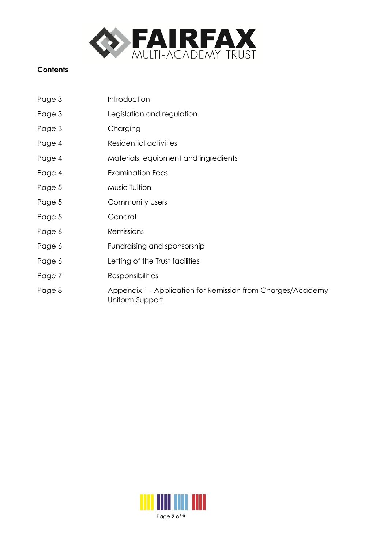

## **Contents**

| Page 3 | Introduction                                                                   |
|--------|--------------------------------------------------------------------------------|
| Page 3 | Legislation and regulation                                                     |
| Page 3 | Charging                                                                       |
| Page 4 | Residential activities                                                         |
| Page 4 | Materials, equipment and ingredients                                           |
| Page 4 | <b>Examination Fees</b>                                                        |
| Page 5 | Music Tuition                                                                  |
| Page 5 | <b>Community Users</b>                                                         |
| Page 5 | General                                                                        |
| Page 6 | Remissions                                                                     |
| Page 6 | Fundraising and sponsorship                                                    |
| Page 6 | Letting of the Trust facilities                                                |
| Page 7 | <b>Responsibilities</b>                                                        |
| Page 8 | Appendix 1 - Application for Remission from Charges/Academy<br>Uniform Support |

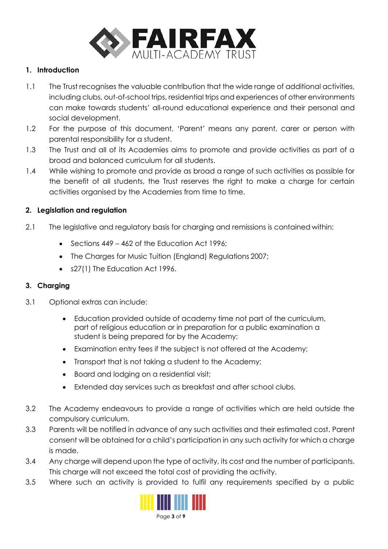

#### **1. Introduction**

- 1.1 The Trust recognises the valuable contribution that the wide range of additional activities, including clubs, out-of-school trips, residential trips and experiences of other environments can make towards students' all-round educational experience and their personal and social development.
- 1.2 For the purpose of this document, 'Parent' means any parent, carer or person with parental responsibility for a student.
- 1.3 The Trust and all of its Academies aims to promote and provide activities as part of a broad and balanced curriculum for all students.
- 1.4 While wishing to promote and provide as broad a range of such activities as possible for the benefit of all students, the Trust reserves the right to make a charge for certain activities organised by the Academies from time to time.

#### **2. Legislation and regulation**

- 2.1 The legislative and regulatory basis for charging and remissions is contained within:
	- Sections 449 [462 of the Education Act](http://www.legislation.gov.uk/ukpga/1996/56/part/VI/chapter/III) 1996;
	- [The Charges for Music Tuition \(England\) Regulations](http://www.legislation.gov.uk/cy/uksi/2007/2239/made) 2007;
	- [s27\(1\) The Education Act](https://www.legislation.gov.uk/ukpga/1996/56/contents) 1996.

#### **3. Charging**

- 3.1 Optional extras can include:
	- Education provided outside of academy time not part of the curriculum, part of religious education or in preparation for a public examination a student is being prepared for by the Academy;
	- Examination entry fees if the subject is not offered at the Academy;
	- Transport that is not taking a student to the Academy;
	- Board and lodging on a residential visit;
	- Extended day services such as breakfast and after school clubs.
- 3.2 The Academy endeavours to provide a range of activities which are held outside the compulsory curriculum.
- 3.3 Parents will be notified in advance of any such activities and their estimated cost. Parent consent will be obtained for a child's participation in any such activity for which a charge is made.
- 3.4 Any charge will depend upon the type of activity, its cost and the number of participants. This charge will not exceed the total cost of providing the activity.
- 3.5 Where such an activity is provided to fulfil any requirements specified by a public

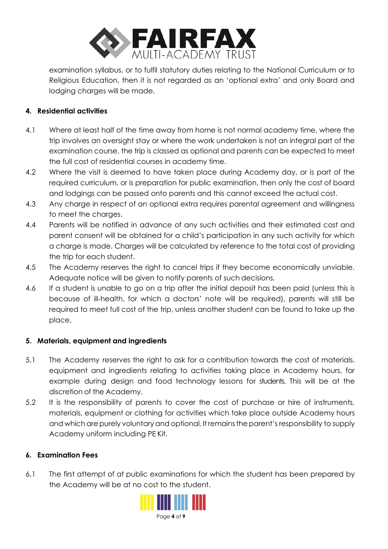

examination syllabus, or to fulfil statutory duties relating to the National Curriculum or to Religious Education, then it is not regarded as an 'optional extra' and only Board and lodging charges will be made.

## **4. Residential activities**

- 4.1 Where at least half of the time away from home is not normal academy time, where the trip involves an oversight stay or where the work undertaken is not an integral part of the examination course, the trip is classed as optional and parents can be expected to meet the full cost of residential courses in academy time.
- 4.2 Where the visit is deemed to have taken place during Academy day, or is part of the required curriculum, or is preparation for public examination, then only the cost of board and lodgings can be passed onto parents and this cannot exceed the actual cost.
- 4.3 Any charge in respect of an optional extra requires parental agreement and willingness to meet the charges.
- 4.4 Parents will be notified in advance of any such activities and their estimated cost and parent consent will be obtained for a child's participation in any such activity for which a charge is made. Charges will be calculated by reference to the total cost of providing the trip for each student.
- 4.5 The Academy reserves the right to cancel trips if they become economically unviable. Adequate notice will be given to notify parents of such decisions.
- 4.6 If a student is unable to go on a trip after the initial deposit has been paid (unless this is because of ill-health, for which a doctors' note will be required), parents will still be required to meet full cost of the trip, unless another student can be found to take up the place.

## **5. Materials, equipment and ingredients**

- 5.1 The Academy reserves the right to ask for a contribution towards the cost of materials, equipment and ingredients relating to activities taking place in Academy hours, for example during design and food technology lessons for students. This will be at the discretion of the Academy.
- 5.2 It is the responsibility of parents to cover the cost of purchase or hire of instruments, materials, equipment or clothing for activities which take place outside Academy hours and which are purely voluntary and optional. It remains the parent's responsibility to supply Academy uniform including PE Kit.

## **6. Examination Fees**

6.1 The first attempt of at public examinations for which the student has been prepared by the Academy will be at no cost to the student.

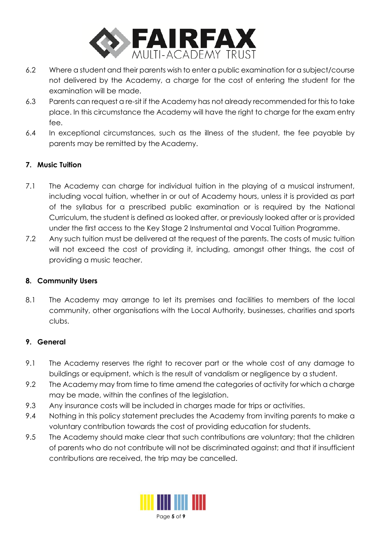

- 6.2 Where a student and their parents wish to enter a public examination for a subject/course not delivered by the Academy, a charge for the cost of entering the student for the examination will be made.
- 6.3 Parents can request a re-sit if the Academy has not already recommended for this to take place. In this circumstance the Academy will have the right to charge for the exam entry fee.
- 6.4 In exceptional circumstances, such as the illness of the student, the fee payable by parents may be remitted by the Academy.

# **7. Music Tuition**

- 7.1 The Academy can charge for individual tuition in the playing of a musical instrument, including vocal tuition, whether in or out of Academy hours, unless it is provided as part of the syllabus for a prescribed public examination or is required by the National Curriculum, the student is defined as looked after, or previousl[y looked after](https://www.legislation.gov.uk/ukpga/1989/41/section/22) or is provided under the first access to the Key Stage 2 Instrumental and Vocal Tuition Programme.
- 7.2 Any such tuition must be delivered at the request of the parents. The costs of music tuition will not exceed the cost of providing it, including, amongst other things, the cost of providing a music teacher.

## **8. Community Users**

8.1 The Academy may arrange to let its premises and facilities to members of the local community, other organisations with the Local Authority, businesses, charities and sports clubs.

## **9. General**

- 9.1 The Academy reserves the right to recover part or the whole cost of any damage to buildings or equipment, which is the result of vandalism or negligence by a student.
- 9.2 The Academy may from time to time amend the categories of activity for which a charge may be made, within the confines of the legislation.
- 9.3 Any insurance costs will be included in charges made for trips or activities.
- 9.4 Nothing in this policy statement precludes the Academy from inviting parents to make a voluntary contribution towards the cost of providing education for students.
- 9.5 The Academy should make clear that such contributions are voluntary; that the children of parents who do not contribute will not be discriminated against; and that if insufficient contributions are received, the trip may be cancelled.

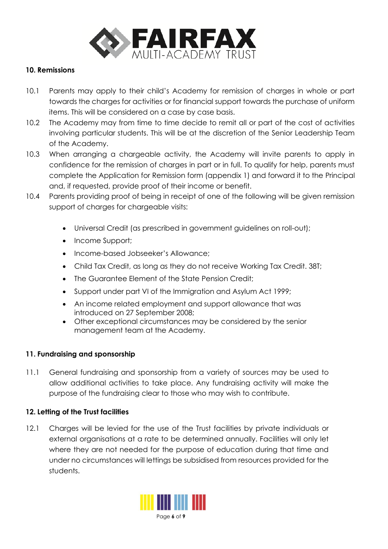

#### **10. Remissions**

- 10.1 Parents may apply to their child's Academy for remission of charges in whole or part towards the charges for activities or for financial support towards the purchase of uniform items. This will be considered on a case by case basis.
- 10.2 The Academy may from time to time decide to remit all or part of the cost of activities involving particular students. This will be at the discretion of the Senior Leadership Team of the Academy.
- 10.3 When arranging a chargeable activity, the Academy will invite parents to apply in confidence for the remission of charges in part or in full. To qualify for help, parents must complete the Application for Remission form (appendix 1) and forward it to the Principal and, if requested, provide proof of their income or benefit.
- 10.4 Parents providing proof of being in receipt of one of the following will be given remission support of charges for chargeable visits:
	- Universal Credit (as prescribed in government guidelines on roll-out);
	- Income Support;
	- Income-based Jobseeker's Allowance;
	- Child Tax Credit, as long as they do not receive Working Tax Credit. 38T;
	- The Guarantee Element of the State Pension Credit;
	- Support under part VI of the Immigration and Asylum Act 1999;
	- An income related employment and support allowance that was introduced on 27 September 2008;
	- Other exceptional circumstances may be considered by the senior management team at the Academy.

## **11. Fundraising and sponsorship**

11.1 General fundraising and sponsorship from a variety of sources may be used to allow additional activities to take place. Any fundraising activity will make the purpose of the fundraising clear to those who may wish to contribute.

## **12. Letting of the Trust facilities**

12.1 Charges will be levied for the use of the Trust facilities by private individuals or external organisations at a rate to be determined annually. Facilities will only let where they are not needed for the purpose of education during that time and under no circumstances will lettings be subsidised from resources provided for the students.

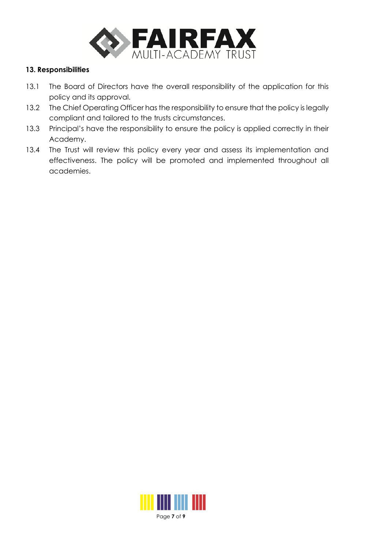

#### **13. Responsibilities**

- 13.1 The Board of Directors have the overall responsibility of the application for this policy and its approval.
- 13.2 The Chief Operating Officer has the responsibility to ensure that the policy is legally compliant and tailored to the trusts circumstances.
- 13.3 Principal's have the responsibility to ensure the policy is applied correctly in their Academy.
- 13.4 The Trust will review this policy every year and assess its implementation and effectiveness. The policy will be promoted and implemented throughout all academies.

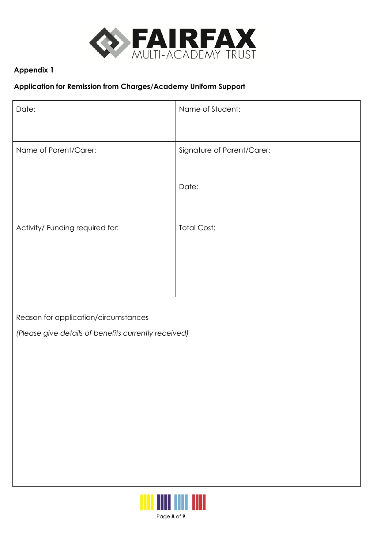

# **Appendix 1**

## **Application for Remission from Charges/Academy Uniform Support**

| Date:                           | Name of Student:           |
|---------------------------------|----------------------------|
|                                 |                            |
| Name of Parent/Carer:           | Signature of Parent/Carer: |
|                                 |                            |
|                                 | Date:                      |
|                                 |                            |
| Activity/ Funding required for: | <b>Total Cost:</b>         |
|                                 |                            |
|                                 |                            |
|                                 |                            |
|                                 |                            |

Reason for application/circumstances

*(Please give details of benefits currently received)*